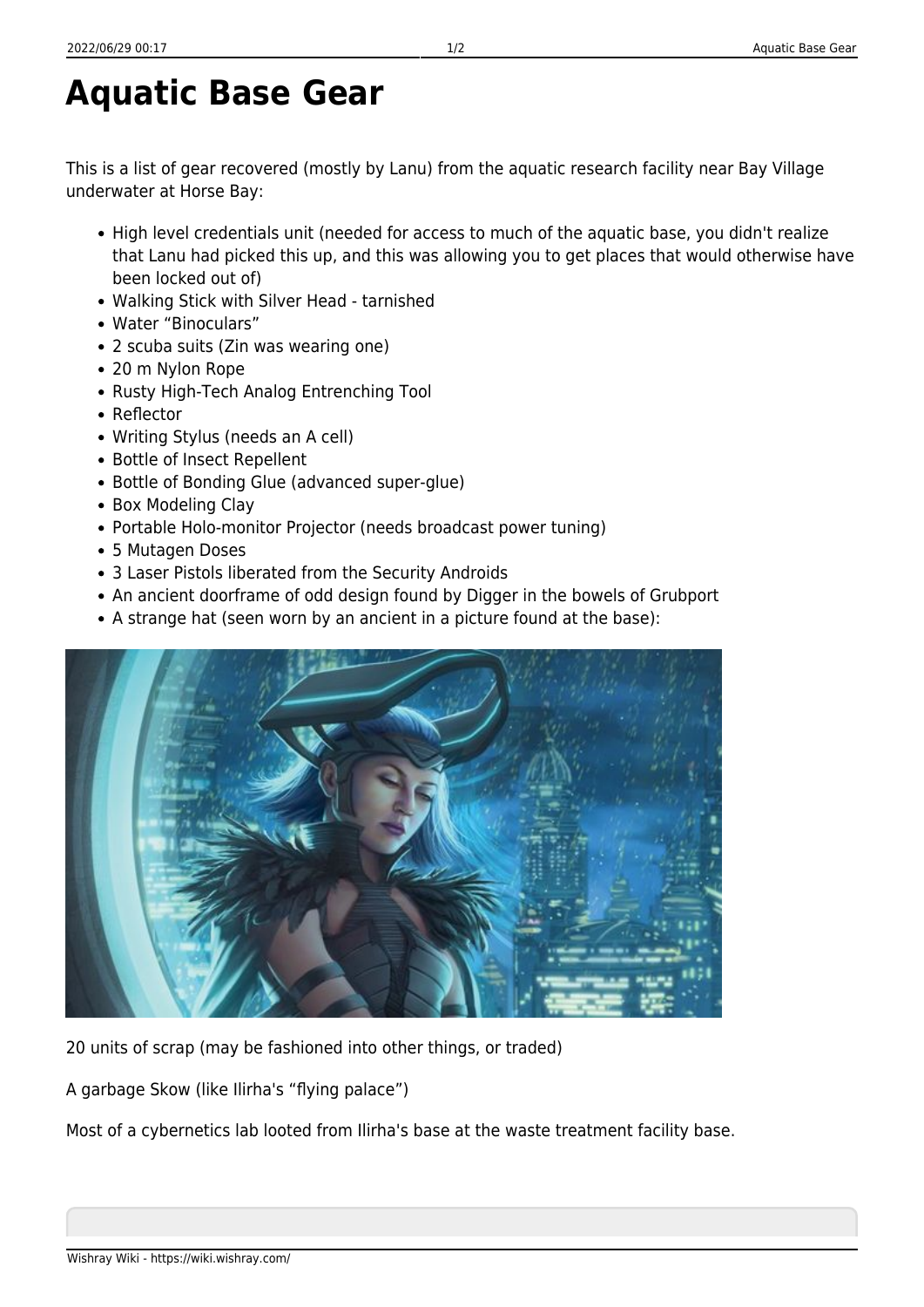## **Aquatic Base Gear**

This is a list of gear recovered (mostly by Lanu) from the aquatic research facility near Bay Village underwater at Horse Bay:

- High level credentials unit (needed for access to much of the aguatic base, you didn't realize that Lanu had picked this up, and this was allowing you to get places that would otherwise have been locked out of)
- Walking Stick with Silver Head tarnished
- Water "Binoculars"
- 2 scuba suits (Zin was wearing one)
- 20 m Nylon Rope
- Rusty High-Tech Analog Entrenching Tool
- Reflector
- Writing Stylus (needs an A cell)
- Bottle of Insect Repellent
- Bottle of Bonding Glue (advanced super-glue)
- Box Modeling Clay
- Portable Holo-monitor Projector (needs broadcast power tuning)
- 5 Mutagen Doses
- 3 Laser Pistols liberated from the Security Androids
- An ancient doorframe of odd design found by Digger in the bowels of Grubport
- A strange hat (seen worn by an ancient in a picture found at the base):



20 units of scrap (may be fashioned into other things, or traded)

A garbage Skow (like Ilirha's "flying palace")

Most of a cybernetics lab looted from Ilirha's base at the waste treatment facility base.